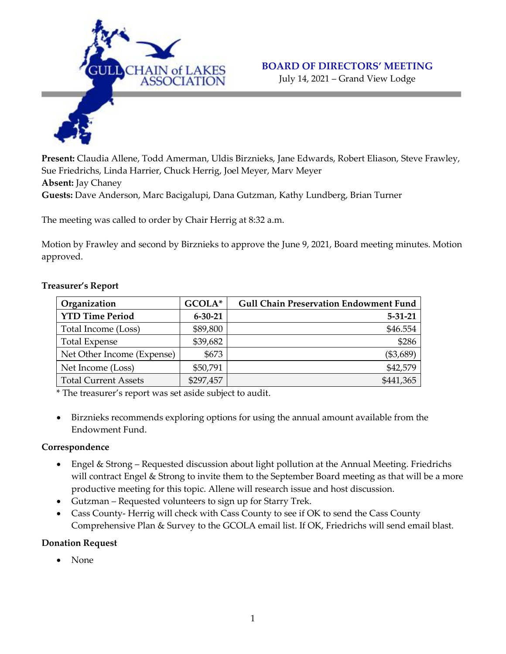

#### **BOARD OF DIRECTORS' MEETING**

July 14, 2021 – Grand View Lodge

**Present:** Claudia Allene, Todd Amerman, Uldis Birznieks, Jane Edwards, Robert Eliason, Steve Frawley, Sue Friedrichs, Linda Harrier, Chuck Herrig, Joel Meyer, Marv Meyer **Absent:** Jay Chaney **Guests:** Dave Anderson, Marc Bacigalupi, Dana Gutzman, Kathy Lundberg, Brian Turner

The meeting was called to order by Chair Herrig at 8:32 a.m.

Motion by Frawley and second by Birznieks to approve the June 9, 2021, Board meeting minutes. Motion approved.

| Organization                | GCOLA*        | <b>Gull Chain Preservation Endowment Fund</b> |
|-----------------------------|---------------|-----------------------------------------------|
| <b>YTD Time Period</b>      | $6 - 30 - 21$ | $5 - 31 - 21$                                 |
| Total Income (Loss)         | \$89,800      | \$46.554                                      |
| <b>Total Expense</b>        | \$39,682      | \$286                                         |
| Net Other Income (Expense)  | \$673         | (\$3,689)                                     |
| Net Income (Loss)           | \$50,791      | \$42,579                                      |
| <b>Total Current Assets</b> | \$297,457     | \$441,365                                     |

### **Treasurer's Report**

\* The treasurer's report was set aside subject to audit.

 Birznieks recommends exploring options for using the annual amount available from the Endowment Fund.

### **Correspondence**

- Engel & Strong Requested discussion about light pollution at the Annual Meeting. Friedrichs will contract Engel & Strong to invite them to the September Board meeting as that will be a more productive meeting for this topic. Allene will research issue and host discussion.
- Gutzman Requested volunteers to sign up for Starry Trek.
- Cass County- Herrig will check with Cass County to see if OK to send the Cass County Comprehensive Plan & Survey to the GCOLA email list. If OK, Friedrichs will send email blast.

### **Donation Request**

None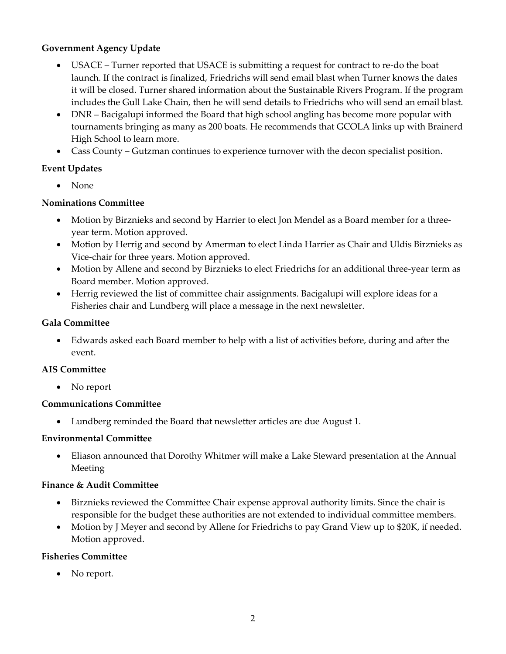## **Government Agency Update**

- USACE Turner reported that USACE is submitting a request for contract to re-do the boat launch. If the contract is finalized, Friedrichs will send email blast when Turner knows the dates it will be closed. Turner shared information about the Sustainable Rivers Program. If the program includes the Gull Lake Chain, then he will send details to Friedrichs who will send an email blast.
- DNR Bacigalupi informed the Board that high school angling has become more popular with tournaments bringing as many as 200 boats. He recommends that GCOLA links up with Brainerd High School to learn more.
- Cass County Gutzman continues to experience turnover with the decon specialist position.

# **Event Updates**

• None

# **Nominations Committee**

- Motion by Birznieks and second by Harrier to elect Jon Mendel as a Board member for a threeyear term. Motion approved.
- Motion by Herrig and second by Amerman to elect Linda Harrier as Chair and Uldis Birznieks as Vice-chair for three years. Motion approved.
- Motion by Allene and second by Birznieks to elect Friedrichs for an additional three-year term as Board member. Motion approved.
- Herrig reviewed the list of committee chair assignments. Bacigalupi will explore ideas for a Fisheries chair and Lundberg will place a message in the next newsletter.

## **Gala Committee**

 Edwards asked each Board member to help with a list of activities before, during and after the event.

### **AIS Committee**

• No report

### **Communications Committee**

Lundberg reminded the Board that newsletter articles are due August 1.

### **Environmental Committee**

 Eliason announced that Dorothy Whitmer will make a Lake Steward presentation at the Annual Meeting

### **Finance & Audit Committee**

- Birznieks reviewed the Committee Chair expense approval authority limits. Since the chair is responsible for the budget these authorities are not extended to individual committee members.
- Motion by J Meyer and second by Allene for Friedrichs to pay Grand View up to \$20K, if needed. Motion approved.

### **Fisheries Committee**

• No report.